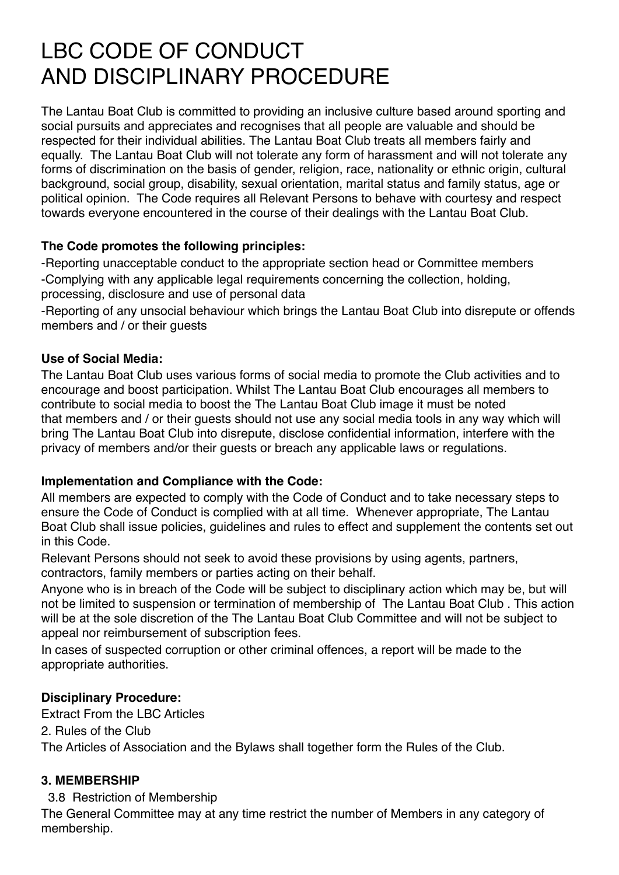# LBC CODE OF CONDUCT AND DISCIPLINARY PROCEDURE

The Lantau Boat Club is committed to providing an inclusive culture based around sporting and social pursuits and appreciates and recognises that all people are valuable and should be respected for their individual abilities. The Lantau Boat Club treats all members fairly and equally. The Lantau Boat Club will not tolerate any form of harassment and will not tolerate any forms of discrimination on the basis of gender, religion, race, nationality or ethnic origin, cultural background, social group, disability, sexual orientation, marital status and family status, age or political opinion. The Code requires all Relevant Persons to behave with courtesy and respect towards everyone encountered in the course of their dealings with the Lantau Boat Club.

# **The Code promotes the following principles:**

-Reporting unacceptable conduct to the appropriate section head or Committee members -Complying with any applicable legal requirements concerning the collection, holding, processing, disclosure and use of personal data

-Reporting of any unsocial behaviour which brings the Lantau Boat Club into disrepute or offends members and / or their guests

# **Use of Social Media:**

The Lantau Boat Club uses various forms of social media to promote the Club activities and to encourage and boost participation. Whilst The Lantau Boat Club encourages all members to contribute to social media to boost the The Lantau Boat Club image it must be noted that members and / or their guests should not use any social media tools in any way which will bring The Lantau Boat Club into disrepute, disclose confidential information, interfere with the privacy of members and/or their guests or breach any applicable laws or regulations.

## **Implementation and Compliance with the Code:**

All members are expected to comply with the Code of Conduct and to take necessary steps to ensure the Code of Conduct is complied with at all time. Whenever appropriate, The Lantau Boat Club shall issue policies, guidelines and rules to effect and supplement the contents set out in this Code.

Relevant Persons should not seek to avoid these provisions by using agents, partners, contractors, family members or parties acting on their behalf.

Anyone who is in breach of the Code will be subject to disciplinary action which may be, but will not be limited to suspension or termination of membership of The Lantau Boat Club . This action will be at the sole discretion of the The Lantau Boat Club Committee and will not be subject to appeal nor reimbursement of subscription fees.

In cases of suspected corruption or other criminal offences, a report will be made to the appropriate authorities.

## **Disciplinary Procedure:**

Extract From the LBC Articles

2. Rules of the Club

The Articles of Association and the Bylaws shall together form the Rules of the Club.

## **3. MEMBERSHIP**

## 3.8 Restriction of Membership

The General Committee may at any time restrict the number of Members in any category of membership.